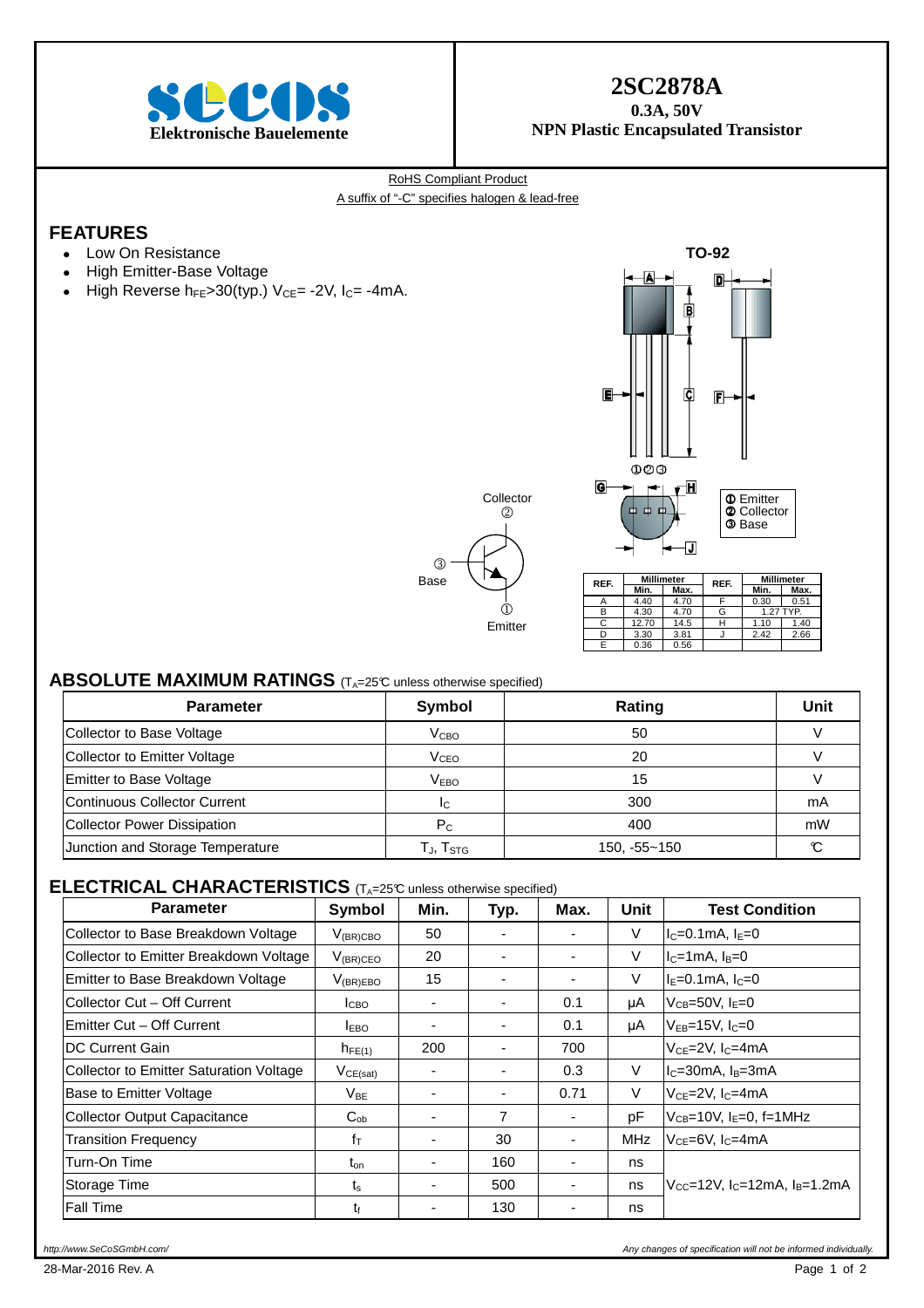

# **2SC2878A**

**0.3A, 50V NPN Plastic Encapsulated Transistor** 

RoHS Compliant Product A suffix of "-C" specifies halogen & lead-free

## **FEATURES**

- Low On Resistance
- High Emitter-Base Voltage
- High Reverse  $h_{FE} > 30$ (typ.) V<sub>CE</sub> = -2V, I<sub>C</sub> = -4mA.



# 3 Base  $\overline{1}$ Emitter Collector  $(2)$

| REF. | <b>Millimeter</b> |      | REF. | <b>Millimeter</b> |      |  |
|------|-------------------|------|------|-------------------|------|--|
|      | Min.              | Max. |      | Min.              | Max. |  |
|      | 4.40              | 4.70 |      | 0.30              | 0.51 |  |
| в    | 4.30              | 4.70 | G    | 1.27 TYP.         |      |  |
| C    | 12.70             | 14.5 |      | 1.10              | 1.40 |  |
|      | 3.30              | 3.81 |      | 2.42              | 2.66 |  |
|      | 0.36              | 0.56 |      |                   |      |  |

#### **ABSOLUTE MAXIMUM RATINGS** (T<sub>A</sub>=25°C unless otherwise specified)

| <b>Parameter</b>                 | Symbol                                               | <b>Rating</b>    | Unit   |
|----------------------------------|------------------------------------------------------|------------------|--------|
| Collector to Base Voltage        | V <sub>CBO</sub>                                     | 50               |        |
| Collector to Emitter Voltage     | V <sub>CEO</sub>                                     | 20               |        |
| Emitter to Base Voltage          | V <sub>EBO</sub>                                     | 15               |        |
| Continuous Collector Current     | IC.                                                  | 300              | mA     |
| Collector Power Dissipation      | $P_{C}$                                              | 400              | mW     |
| Junction and Storage Temperature | $\mathsf{T}_{\mathsf{J}}, \mathsf{T}_{\mathsf{STG}}$ | $150, -55 - 150$ | $\sim$ |

### **ELECTRICAL CHARACTERISTICS** (TA=25°C unless otherwise specified)

| <b>Parameter</b>                               | Symbol           | Min.                     | Typ.           | Max. | Unit | <b>Test Condition</b>                                             |
|------------------------------------------------|------------------|--------------------------|----------------|------|------|-------------------------------------------------------------------|
| Collector to Base Breakdown Voltage            | $V_{(BR)CBO}$    | 50                       | ۰              |      | V    | $I_c = 0.1$ mA, $I_E = 0$                                         |
| Collector to Emitter Breakdown Voltage         | $V_{(BR)CEO}$    | 20                       |                |      | V    | $I_C=1mA$ , $I_B=0$                                               |
| Emitter to Base Breakdown Voltage              | $V_{(BR)EBO}$    | 15                       | ۰              |      | V    | $I_F = 0.1$ mA, $I_C = 0$                                         |
| Collector Cut - Off Current                    | I <sub>СВО</sub> | ٠                        | ۰              | 0.1  | μA   | $V_{CB} = 50V$ , $I_E = 0$                                        |
| Emitter Cut - Off Current                      | <b>IEBO</b>      |                          |                | 0.1  | μA   | $V_{EB} = 15V$ , $I_C = 0$                                        |
| DC Current Gain                                | $h_{FE(1)}$      | 200                      | ٠              | 700  |      | $VCE=2V, IC=4mA$                                                  |
| <b>Collector to Emitter Saturation Voltage</b> | $V_{CE(sat)}$    | -                        | ٠              | 0.3  | V    | $IC=30mA$ , $IB=3mA$                                              |
| Base to Emitter Voltage                        | $V_{BE}$         | ٠                        | ٠              | 0.71 | V    | $V_{CF} = 2V$ , $I_C = 4mA$                                       |
| <b>Collector Output Capacitance</b>            | $C_{ob}$         | $\overline{\phantom{0}}$ | $\overline{7}$ |      | pF   | $V_{CB}$ =10V, $I_E$ =0, f=1MHz                                   |
| <b>Transition Frequency</b>                    | fτ               | $\overline{\phantom{0}}$ | 30             |      | MHz  | $V_{CE} = 6V$ , $I_C = 4mA$                                       |
| Turn-On Time                                   | $t_{on}$         | $\overline{\phantom{0}}$ | 160            |      | ns   |                                                                   |
| Storage Time                                   | $t_{\rm s}$      | $\overline{\phantom{0}}$ | 500            |      | ns   | $V_{\text{CC}}$ =12V, I <sub>C</sub> =12mA, I <sub>B</sub> =1.2mA |
| <b>Fall Time</b>                               | t£               |                          | 130            |      | ns   |                                                                   |

http://www.SeCoSGmbH.com/ Any changes of specification will not be informed individually.